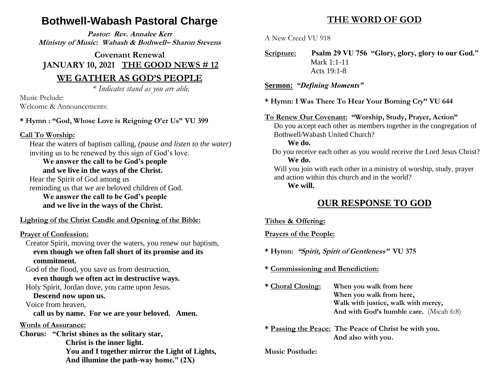# **Bothwell-Wabash Pastoral Charge**

**Pastor: Rev. Annalee Kerr Ministry of Music: Wabash & Bothwell– Sharon Stevens**

**Covenant Renewal JANUARY 10, 2021 THE GOOD NEWS # 12**

### **WE GATHER AS GOD'S PEOPLE**

*\* Indicates stand as you are able.*

Music Prelude: Welcome & Announcements:

### **\* Hymn : "God, Whose Love is Reigning O'er Us" VU 399**

#### **Call To Worship:**

 Hear the waters of baptism calling, *(pause and listen to the water)* inviting us to be renewed by this sign of God's love.

#### **We answer the call to be God's people and we live in the ways of the Christ.**

Hear the Spirit of God among us

 reminding us that we are beloved children of God. **We answer the call to be God's people and we live in the ways of the Christ.**

### **Lighting of the Christ Candle and Opening of the Bible:**

### **Prayer of Confession:**

 Creator Spirit, moving over the waters, you renew our baptism, **even though we often fall short of its promise and its commitment.**

 God of the flood, you save us from destruction, **even though we often act in destructive ways.**

# Holy Spirit, Jordan dove, you came upon Jesus.

## **Descend now upon us.**

Voice from heaven,

 **call us by name. For we are your beloved. Amen.**

#### **Words of Assurance:**

**Chorus: "Christ shines as the solitary star, Christ is the inner light. You and I together mirror the Light of Lights, And illumine the path-way home." (2X)**

## **THE WORD OF GOD**

A New Creed VU 918

**Scripture: Psalm 29 VU 756 "Glory, glory, glory to our God."** Mark 1:1-11 Acts 19:1-8

#### **Sermon:** *"Defining Moments"*

**\* Hymn: I Was There To Hear Your Borning Cry" VU 644**

#### **To Renew Our Covenant: "Worship, Study, Prayer, Action"**

 Do you accept each other as members together in the congregation of Bothwell/Wabash United Church?

#### **We do.**

 Do you receive each other as you would receive the Lord Jesus Christ? **We do.**

 Will you join with each other in a ministry of worship, study, prayer and action within this church and in the world?

**We will.**

## **OUR RESPONSE TO GOD**

#### **Tithes & Offering:**

**Prayers of the People:**

**\* Hymn: "Spirit, Spirit of Gentleness" VU 375**

**\* Commissioning and Benediction:**

- **\* Choral Closing: When you walk from here When you walk from here, Walk with justice, walk with mercy, And with God's humble care.** (Micah 6:8)
- **\* Passing the Peace: The Peace of Christ be with you. And also with you.**

#### **Music Postlude:**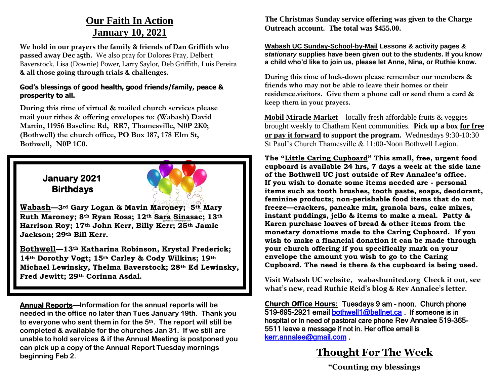# **Our Faith In Action January 10, 2021**

**We hold in our prayers the family & friends of Dan Griffith who passed away Dec 25th.** We also pray for Dolores Pray, Delbert Baverstock, Lisa (Downie) Power, Larry Saylor, Deb Griffith, Luis Pereira **& all those going through trials & challenges.** 

#### **God's blessings of good health, good friends/family, peace & prosperity to all.**

**During this time of virtual & mailed church services please mail your tithes & offering envelopes to: (Wabash) David Martin, 11956 Baseline Rd, RR7, Thamesville, N0P 2K0; (Bothwell) the church office, PO Box 187, 178 Elm St, Bothwell, N0P 1C0.** 

## **January 2021 Birthdays**



**Wabash—3rd Gary Logan & Mavin Maroney; 5th Mary Ruth Maroney; 8th Ryan Ross; 12th Sara Sinasac; 13th Harrison Roy; 17th John Kerr, Billy Kerr; 25th Jamie Jackson; 29th Bill Kerr.**

**Bothwell—13th Katharina Robinson, Krystal Frederick; 14th Dorothy Vogt; 15th Carley & Cody Wilkins; 19th Michael Lewinsky, Thelma Baverstock; 28th Ed Lewinsky, Fred Jewitt; 29th Corinna Asdal.**

**Annual Reports—Information for the annual reports will be needed in the office no later than Tues January 19th. Thank you to everyone who sent them in for the 5th. The report will still be completed & available for the churches Jan 31. If we still are unable to hold services & if the Annual Meeting is postponed you can pick up a copy of the Annual Report Tuesday mornings beginning Feb 2.**

**The Christmas Sunday service offering was given to the Charge Outreach account. The total was \$455.00.**

**Wabash UC Sunday-School-by-Mail Lessons & activity pages** *& stationary* **supplies have been given out to the students. If you know a child who'd like to join us, please let Anne, Nina, or Ruthie know.** 

**During this time of lock-down please remember our members & friends who may not be able to leave their homes or their residence.visitors. Give them a phone call or send them a card & keep them in your prayers.** 

**Mobil Miracle Market**—locally fresh affordable fruits & veggies brought weekly to Chatham Kent communities. **Pick up a box for free or pay it forward to support the program.** Wednesdays 9:30-10:30 St Paul's Church Thamesville & 11:00-Noon Bothwell Legion.

**The "Little Caring Cupboard" This small, free, urgent food cupboard is available 24 hrs, 7 days a week at the side lane of the Bothwell UC just outside of Rev Annalee's office. If you wish to donate some items needed are - personal items such as tooth brushes, tooth paste, soaps, deodorant, feminine products; non-perishable food items that do not freeze—crackers, pancake mix, granola bars, cake mixes, instant puddings, jello & items to make a meal. Patty & Karen purchase loaves of bread & other items from the monetary donations made to the Caring Cupboard. If you wish to make a financial donation it can be made through your church offering if you specifically mark on your envelope the amount you wish to go to the Caring Cupboard. The need is there & the cupboard is being used.**

**Visit Wabash UC website, wabashunited.org Check it out, see what's new, read Ruthie Reid's blog & Rev Annalee's letter.**

**Church Office Hours**: Tuesdays 9 am – noon. Church phone 519-695-2921 email [bothwell1@bellnet.ca](mailto:bothwell1@bellnet.ca) . If someone is in hospital or in need of pastoral care phone Rev Annalee 519-365- 5511 leave a message if not in. Her office email is [kerr.annalee@gmail.com](mailto:kerr.annalee@gmail.com) .

# **Thought For The Week**

**"Counting my blessings**